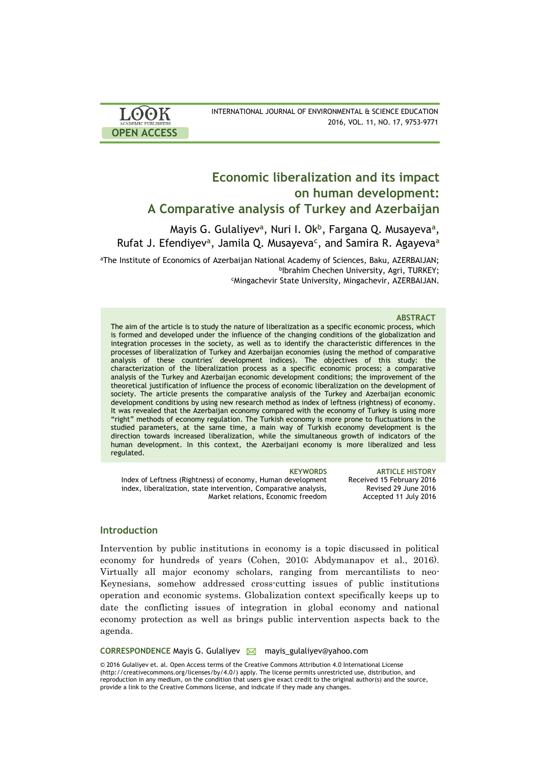| <b>LOOK</b>                | INTERNATIONAL JOURNAL OF ENVIRONMENTAL & SCIENCE EDUCATION |
|----------------------------|------------------------------------------------------------|
| <b>ACADEMIC PUBLISHERS</b> | 2016, VOL. 11, NO. 17, 9753-9771                           |
| <b>OPEN ACCESS</b>         |                                                            |

# **Economic liberalization and its impact on human development: A Comparative analysis of Turkey and Azerbaijan**

Mayis G. Gulaliyev**<sup>a</sup>** , Nuri I. Ok**<sup>b</sup>** , Fargana Q. Musayeva**<sup>a</sup>** , Rufat J. Efendiyev**<sup>a</sup>** , Jamila Q. Musayeva**<sup>c</sup>** , and Samira R. Agayeva**<sup>a</sup>**

<sup>a</sup>The Institute of Economics of Azerbaijan National Academy of Sciences, Baku, AZERBAIJAN; b Ibrahim Chechen University, Agri, TURKEY; <sup>c</sup>Mingachevir State University, Mingachevir, AZERBAIJAN.

### **ABSTRACT**

The aim of the article is to study the nature of liberalization as a specific economic process, which is formed and developed under the influence of the changing conditions of the globalization and integration processes in the society, as well as to identify the characteristic differences in the processes of liberalization of Turkey and Azerbaijan economies (using the method of comparative analysis of these countries' development indices). The objectives of this study: the characterization of the liberalization process as a specific economic process; a comparative analysis of the Turkey and Azerbaijan economic development conditions; the improvement of the theoretical justification of influence the process of economic liberalization on the development of society. The article presents the comparative analysis of the Turkey and Azerbaijan economic development conditions by using new research method as index of leftness (rightness) of economy. It was revealed that the Azerbaijan economy compared with the economy of Turkey is using more "right" methods of economy regulation. The Turkish economy is more prone to fluctuations in the studied parameters, at the same time, a main way of Turkish economy development is the direction towards increased liberalization, while the simultaneous growth of indicators of the human development. In this context, the Azerbaijani economy is more liberalized and less regulated.

**KEYWORDS ARTICLE HISTORY** Index of Leftness (Rightness) of economy, Human development index, liberalization, state intervention, Comparative analysis, Market relations, Economic freedom Received 15 February 2016 Revised 29 June 2016 Accepted 11 July 2016

#### **Introduction**

Intervention by public institutions in economy is a topic discussed in political economy for hundreds of years (Cohen, 2010; Abdymanapov et al., 2016). Virtually all major economy scholars, ranging from mercantilists to neo-Keynesians, somehow addressed cross-cutting issues of public institutions operation and economic systems. Globalization context specifically keeps up to date the conflicting issues of integration in global economy and national economy protection as well as brings public intervention aspects back to the agenda.

**CORRESPONDENCE Mayis G. Gulaliyev Mayor mayis gulaliyev@yahoo.com** 

© 2016 Gulaliyev et. al. Open Access terms of the Creative Commons Attribution 4.0 International License (http://creativecommons.org/licenses/by/4.0/) apply. The license permits unrestricted use, distribution, and reproduction in any medium, on the condition that users give exact credit to the original author(s) and the source, provide a link to the Creative Commons license, and indicate if they made any changes.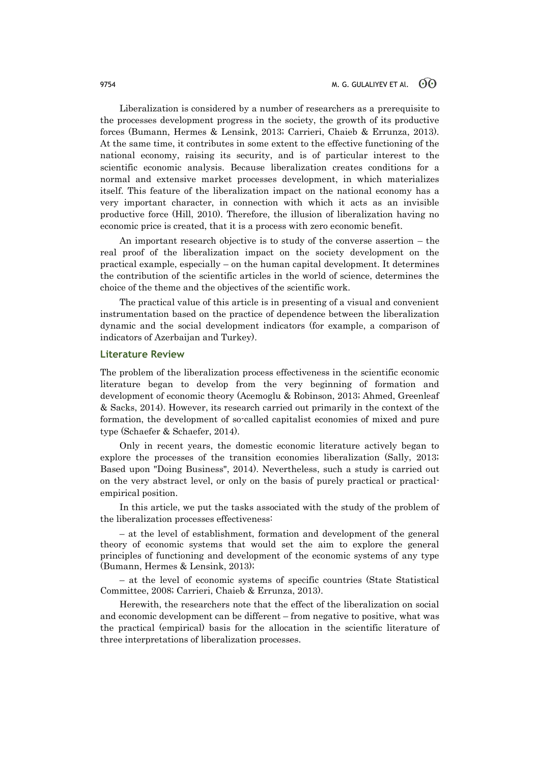Liberalization is considered by a number of researchers as a prerequisite to the processes development progress in the society, the growth of its productive forces (Bumann, Hermes & Lensink, 2013; Carrieri, Chaieb & Errunza, 2013). At the same time, it contributes in some extent to the effective functioning of the national economy, raising its security, and is of particular interest to the scientific economic analysis. Because liberalization creates conditions for a normal and extensive market processes development, in which materializes itself. This feature of the liberalization impact on the national economy has a very important character, in connection with which it acts as an invisible productive force (Hill, 2010). Therefore, the illusion of liberalization having no economic price is created, that it is a process with zero economic benefit.

An important research objective is to study of the converse assertion – the real proof of the liberalization impact on the society development on the practical example, especially – on the human capital development. It determines the contribution of the scientific articles in the world of science, determines the choice of the theme and the objectives of the scientific work.

The practical value of this article is in presenting of a visual and convenient instrumentation based on the practice of dependence between the liberalization dynamic and the social development indicators (for example, a comparison of indicators of Azerbaijan and Turkey).

## **Literature Review**

The problem of the liberalization process effectiveness in the scientific economic literature began to develop from the very beginning of formation and development of economic theory (Acemoglu & Robinson, 2013; Ahmed, Greenleaf & Sacks, 2014). However, its research carried out primarily in the context of the formation, the development of so-called capitalist economies of mixed and pure type (Schaefer & Schaefer, 2014).

Only in recent years, the domestic economic literature actively began to explore the processes of the transition economies liberalization (Sally, 2013; Based upon "Doing Business", 2014). Nevertheless, such a study is carried out on the very abstract level, or only on the basis of purely practical or practicalempirical position.

In this article, we put the tasks associated with the study of the problem of the liberalization processes effectiveness:

– at the level of establishment, formation and development of the general theory of economic systems that would set the aim to explore the general principles of functioning and development of the economic systems of any type (Bumann, Hermes & Lensink, 2013);

– at the level of economic systems of specific countries (State Statistical Committee, 2008; Carrieri, Chaieb & Errunza, 2013).

Herewith, the researchers note that the effect of the liberalization on social and economic development can be different – from negative to positive, what was the practical (empirical) basis for the allocation in the scientific literature of three interpretations of liberalization processes.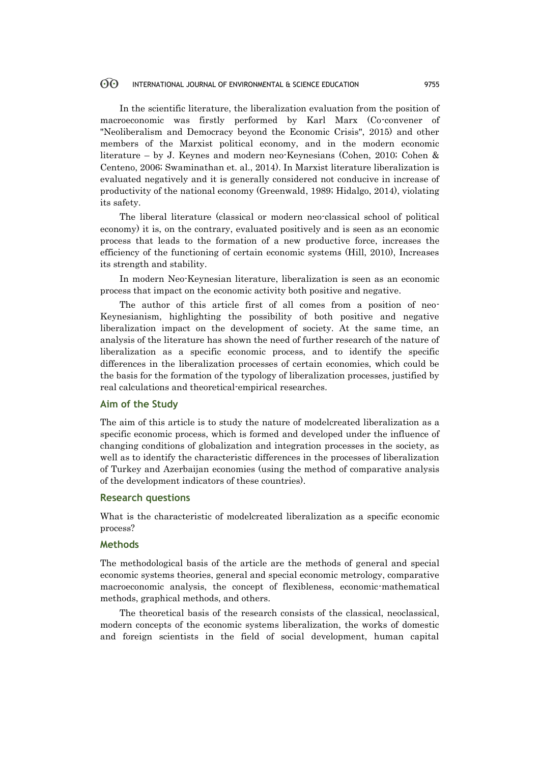In the scientific literature, the liberalization evaluation from the position of macroeconomic was firstly performed by Karl Marx (Co-convener of "Neoliberalism and Democracy beyond the Economic Crisis", 2015) and other members of the Marxist political economy, and in the modern economic literature – by J. Keynes and modern neo-Keynesians (Cohen, 2010; Cohen & Centeno, 2006; Swaminathan et. al., 2014). In Marxist literature liberalization is evaluated negatively and it is generally considered not conducive in increase of productivity of the national economy (Greenwald, 1989; Hidalgo, 2014), violating its safety.

The liberal literature (classical or modern neo-classical school of political economy) it is, on the contrary, evaluated positively and is seen as an economic process that leads to the formation of a new productive force, increases the efficiency of the functioning of certain economic systems (Hill, 2010), Increases its strength and stability.

In modern Neo-Keynesian literature, liberalization is seen as an economic process that impact on the economic activity both positive and negative.

The author of this article first of all comes from a position of neo-Keynesianism, highlighting the possibility of both positive and negative liberalization impact on the development of society. At the same time, an analysis of the literature has shown the need of further research of the nature of liberalization as a specific economic process, and to identify the specific differences in the liberalization processes of certain economies, which could be the basis for the formation of the typology of liberalization processes, justified by real calculations and theoretical-empirical researches.

### **Aim of the Study**

The aim of this article is to study the nature of modelcreated liberalization as a specific economic process, which is formed and developed under the influence of changing conditions of globalization and integration processes in the society, as well as to identify the characteristic differences in the processes of liberalization of Turkey and Azerbaijan economies (using the method of comparative analysis of the development indicators of these countries).

### **Research questions**

What is the characteristic of modelcreated liberalization as a specific economic process?

## **Methods**

The methodological basis of the article are the methods of general and special economic systems theories, general and special economic metrology, comparative macroeconomic analysis, the concept of flexibleness, economic-mathematical methods, graphical methods, and others.

The theoretical basis of the research consists of the classical, neoclassical, modern concepts of the economic systems liberalization, the works of domestic and foreign scientists in the field of social development, human capital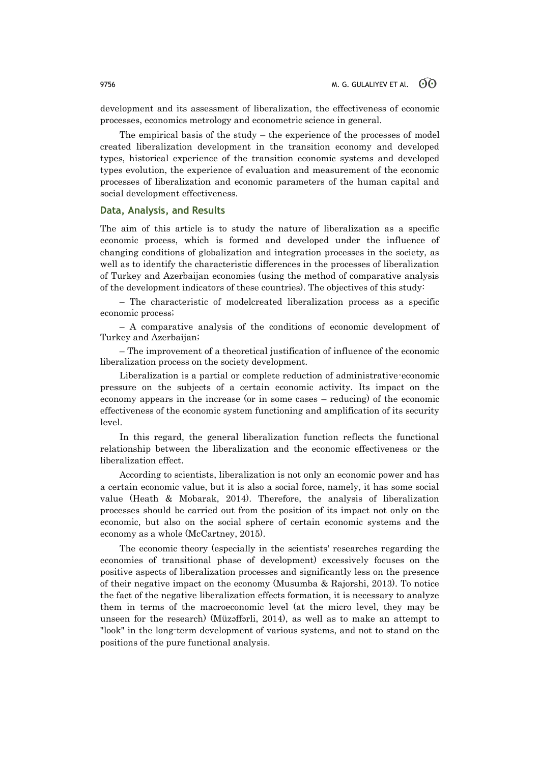development and its assessment of liberalization, the effectiveness of economic processes, economics metrology and econometric science in general.

The empirical basis of the study  $-$  the experience of the processes of model created liberalization development in the transition economy and developed types, historical experience of the transition economic systems and developed types evolution, the experience of evaluation and measurement of the economic processes of liberalization and economic parameters of the human capital and social development effectiveness.

### **Data, Analysis, and Results**

The aim of this article is to study the nature of liberalization as a specific economic process, which is formed and developed under the influence of changing conditions of globalization and integration processes in the society, as well as to identify the characteristic differences in the processes of liberalization of Turkey and Azerbaijan economies (using the method of comparative analysis of the development indicators of these countries). The objectives of this study:

– The characteristic of modelcreated liberalization process as a specific economic process;

– A comparative analysis of the conditions of economic development of Turkey and Azerbaijan;

– The improvement of a theoretical justification of influence of the economic liberalization process on the society development.

Liberalization is a partial or complete reduction of administrative-economic pressure on the subjects of a certain economic activity. Its impact on the economy appears in the increase (or in some cases – reducing) of the economic effectiveness of the economic system functioning and amplification of its security level.

In this regard, the general liberalization function reflects the functional relationship between the liberalization and the economic effectiveness or the liberalization effect.

According to scientists, liberalization is not only an economic power and has a certain economic value, but it is also a social force, namely, it has some social value (Heath & Mobarak, 2014). Therefore, the analysis of liberalization processes should be carried out from the position of its impact not only on the economic, but also on the social sphere of certain economic systems and the economy as a whole (McCartney, 2015).

The economic theory (especially in the scientists' researches regarding the economies of transitional phase of development) excessively focuses on the positive aspects of liberalization processes and significantly less on the presence of their negative impact on the economy (Musumba & Rajorshi, 2013). To notice the fact of the negative liberalization effects formation, it is necessary to analyze them in terms of the macroeconomic level (at the micro level, they may be unseen for the research) (Müzəffərli, 2014), as well as to make an attempt to "look" in the long-term development of various systems, and not to stand on the positions of the pure functional analysis.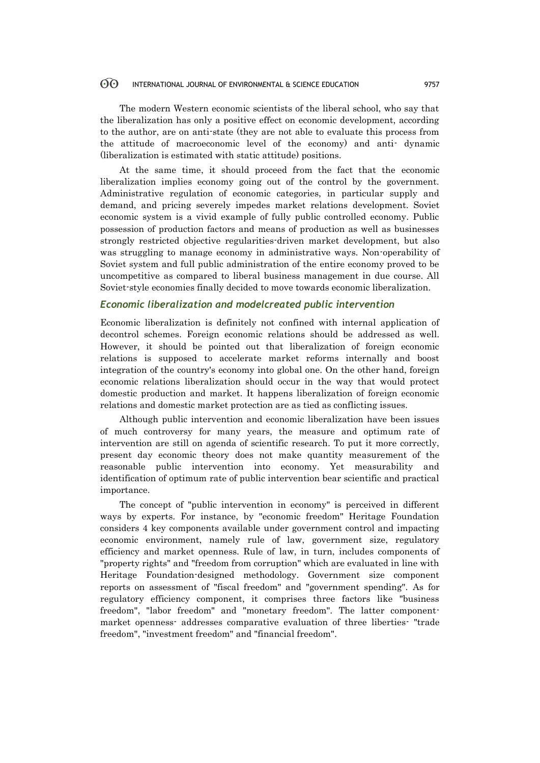The modern Western economic scientists of the liberal school, who say that the liberalization has only a positive effect on economic development, according to the author, are on anti-state (they are not able to evaluate this process from the attitude of macroeconomic level of the economy) and anti- dynamic (liberalization is estimated with static attitude) positions.

At the same time, it should proceed from the fact that the economic liberalization implies economy going out of the control by the government. Administrative regulation of economic categories, in particular supply and demand, and pricing severely impedes market relations development. Soviet economic system is a vivid example of fully public controlled economy. Public possession of production factors and means of production as well as businesses strongly restricted objective regularities-driven market development, but also was struggling to manage economy in administrative ways. Non-operability of Soviet system and full public administration of the entire economy proved to be uncompetitive as compared to liberal business management in due course. All Soviet-style economies finally decided to move towards economic liberalization.

## *Economic liberalization and modelcreated public intervention*

Economic liberalization is definitely not confined with internal application of decontrol schemes. Foreign economic relations should be addressed as well. However, it should be pointed out that liberalization of foreign economic relations is supposed to accelerate market reforms internally and boost integration of the country's economy into global one. On the other hand, foreign economic relations liberalization should occur in the way that would protect domestic production and market. It happens liberalization of foreign economic relations and domestic market protection are as tied as conflicting issues.

Although public intervention and economic liberalization have been issues of much controversy for many years, the measure and optimum rate of intervention are still on agenda of scientific research. To put it more correctly, present day economic theory does not make quantity measurement of the reasonable public intervention into economy. Yet measurability and identification of optimum rate of public intervention bear scientific and practical importance.

The concept of "public intervention in economy" is perceived in different ways by experts. For instance, by "economic freedom" Heritage Foundation considers 4 key components available under government control and impacting economic environment, namely rule of law, government size, regulatory efficiency and market openness. Rule of law, in turn, includes components of "property rights" and "freedom from corruption" which are evaluated in line with Heritage Foundation-designed methodology. Government size component reports on assessment of "fiscal freedom" and "government spending". As for regulatory efficiency component, it comprises three factors like "business freedom", "labor freedom" and "monetary freedom". The latter componentmarket openness- addresses comparative evaluation of three liberties- "trade freedom", "investment freedom" and "financial freedom".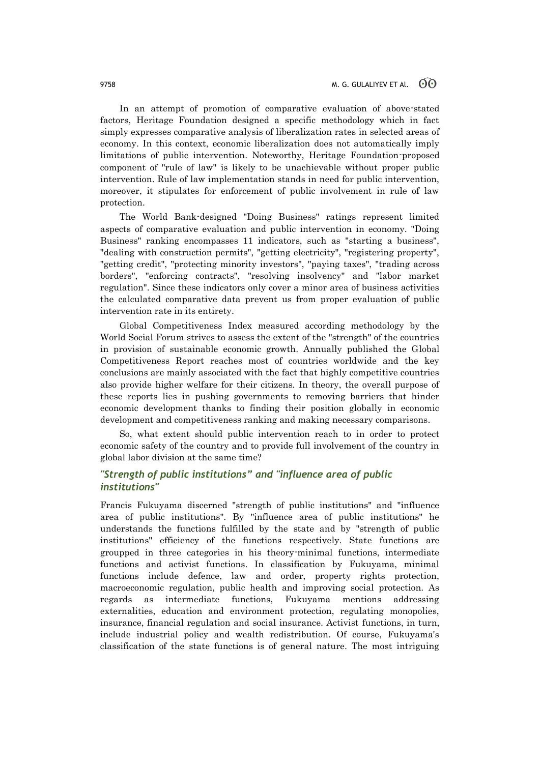In an attempt of promotion of comparative evaluation of above-stated factors, Heritage Foundation designed a specific methodology which in fact simply expresses comparative analysis of liberalization rates in selected areas of economy. In this context, economic liberalization does not automatically imply limitations of public intervention. Noteworthy, Heritage Foundation-proposed component of "rule of law" is likely to be unachievable without proper public intervention. Rule of law implementation stands in need for public intervention, moreover, it stipulates for enforcement of public involvement in rule of law protection.

The World Bank-designed "Doing Business" ratings represent limited aspects of comparative evaluation and public intervention in economy. "Doing Business" ranking encompasses 11 indicators, such as "starting a business", "dealing with construction permits", "getting electricity", "registering property", "getting credit", "protecting minority investors", "paying taxes", "trading across borders", "enforcing contracts", "resolving insolvency" and "labor market regulation". Since these indicators only cover a minor area of business activities the calculated comparative data prevent us from proper evaluation of public intervention rate in its entirety.

Global Competitiveness Index measured according methodology by the World Social Forum strives to assess the extent of the "strength" of the countries in provision of sustainable economic growth. Annually published the Global Competitiveness Report reaches most of countries worldwide and the key conclusions are mainly associated with the fact that highly competitive countries also provide higher welfare for their citizens. In theory, the overall purpose of these reports lies in pushing governments to removing barriers that hinder economic development thanks to finding their position globally in economic development and competitiveness ranking and making necessary comparisons.

So, what extent should public intervention reach to in order to protect economic safety of the country and to provide full involvement of the country in global labor division at the same time?

## *"Strength of public institutions" and "influence area of public institutions"*

Francis Fukuyama discerned "strength of public institutions" and "influence area of public institutions". By "influence area of public institutions" he understands the functions fulfilled by the state and by "strength of public institutions" efficiency of the functions respectively. State functions are groupped in three categories in his theory-minimal functions, intermediate functions and activist functions. In classification by Fukuyama, minimal functions include defence, law and order, property rights protection, macroeconomic regulation, public health and improving social protection. As regards as intermediate functions, Fukuyama mentions addressing externalities, education and environment protection, regulating monopolies, insurance, financial regulation and social insurance. Activist functions, in turn, include industrial policy and wealth redistribution. Of course, Fukuyama's classification of the state functions is of general nature. The most intriguing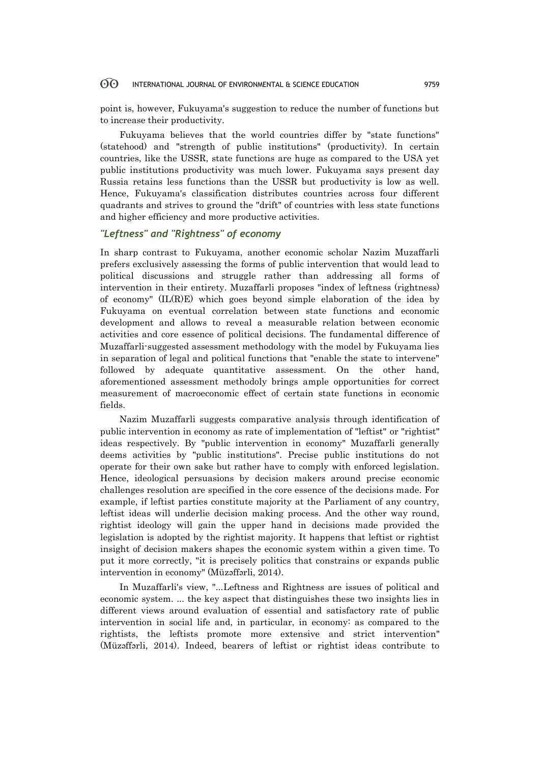point is, however, Fukuyama's suggestion to reduce the number of functions but to increase their productivity.

Fukuyama believes that the world countries differ by "state functions" (statehood) and "strength of public institutions" (productivity). In certain countries, like the USSR, state functions are huge as compared to the USA yet public institutions productivity was much lower. Fukuyama says present day Russia retains less functions than the USSR but productivity is low as well. Hence, Fukuyama's classification distributes countries across four different quadrants and strives to ground the "drift" of countries with less state functions and higher efficiency and more productive activities.

## *"Leftness" and "Rightness" of economy*

In sharp contrast to Fukuyama, another economic scholar Nazim Muzaffarli prefers exclusively assessing the forms of public intervention that would lead to political discussions and struggle rather than addressing all forms of intervention in their entirety. Muzaffarli proposes "index of leftness (rightness) of economy" (IL(R)E) which goes beyond simple elaboration of the idea by Fukuyama on eventual correlation between state functions and economic development and allows to reveal a measurable relation between economic activities and core essence of political decisions. The fundamental difference of Muzaffarli-suggested assessment methodology with the model by Fukuyama lies in separation of legal and political functions that "enable the state to intervene" followed by adequate quantitative assessment. On the other hand, aforementioned assessment methodoly brings ample opportunities for correct measurement of macroeconomic effect of certain state functions in economic fields.

Nazim Muzaffarli suggests comparative analysis through identification of public intervention in economy as rate of implementation of "leftist" or "rightist" ideas respectively. By "public intervention in economy" Muzaffarli generally deems activities by "public institutions". Precise public institutions do not operate for their own sake but rather have to comply with enforced legislation. Hence, ideological persuasions by decision makers around precise economic challenges resolution are specified in the core essence of the decisions made. For example, if leftist parties constitute majority at the Parliament of any country, leftist ideas will underlie decision making process. And the other way round, rightist ideology will gain the upper hand in decisions made provided the legislation is adopted by the rightist majority. It happens that leftist or rightist insight of decision makers shapes the economic system within a given time. To put it more correctly, "it is precisely politics that constrains or expands public intervention in economy" (Müzəffərli, 2014).

In Muzaffarli's view, "...Leftness and Rightness are issues of political and economic system. ... the key aspect that distinguishes these two insights lies in different views around evaluation of essential and satisfactory rate of public intervention in social life and, in particular, in economy: as compared to the rightists, the leftists promote more extensive and strict intervention" (Müzəffərli, 2014). Indeed, bearers of leftist or rightist ideas contribute to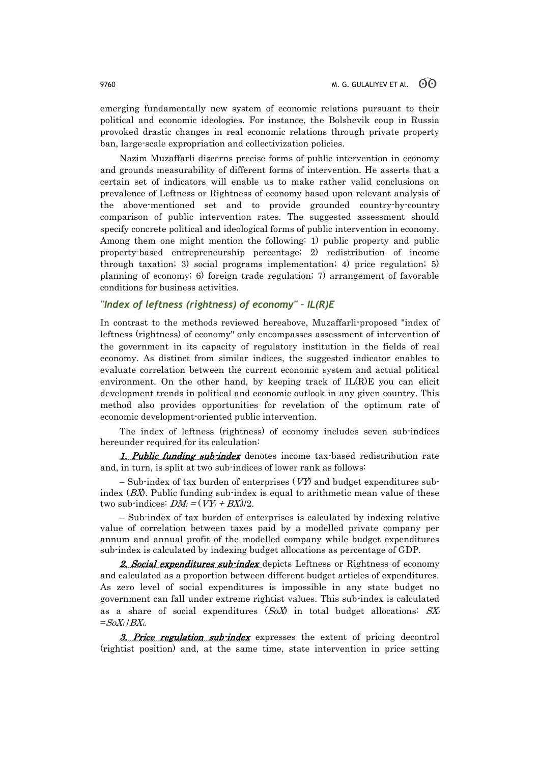emerging fundamentally new system of economic relations pursuant to their political and economic ideologies. For instance, the Bolshevik coup in Russia provoked drastic changes in real economic relations through private property ban, large-scale expropriation and collectivization policies.

Nazim Muzaffarli discerns precise forms of public intervention in economy and grounds measurability of different forms of intervention. He asserts that a certain set of indicators will enable us to make rather valid conclusions on prevalence of Leftness or Rightness of economy based upon relevant analysis of the above-mentioned set and to provide grounded country-by-country comparison of public intervention rates. The suggested assessment should specify concrete political and ideological forms of public intervention in economy. Among them one might mention the following: 1) public property and public property-based entrepreneurship percentage; 2) redistribution of income through taxation; 3) social programs implementation; 4) price regulation; 5) planning of economy; 6) foreign trade regulation; 7) arrangement of favorable conditions for business activities.

## *"Index of leftness (rightness) of economy" – IL(R)E*

In contrast to the methods reviewed hereabove, Muzaffarli-proposed "index of leftness (rightness) of economy" only encompasses assessment of intervention of the government in its capacity of regulatory institution in the fields of real economy. As distinct from similar indices, the suggested indicator enables to evaluate correlation between the current economic system and actual political environment. On the other hand, by keeping track of IL(R)E you can elicit development trends in political and economic outlook in any given country. This method also provides opportunities for revelation of the optimum rate of economic development-oriented public intervention.

The index of leftness (rightness) of economy includes seven sub-indices hereunder required for its calculation:

1. Public funding sub-index denotes income tax-based redistribution rate and, in turn, is split at two sub-indices of lower rank as follows:

– Sub-index of tax burden of enterprises  $(VY)$  and budget expenditures subindex  $(BX)$ . Public funding sub-index is equal to arithmetic mean value of these two sub-indices:  $DM_i = (VY_i + BX_i)/2$ .

– Sub-index of tax burden of enterprises is calculated by indexing relative value of correlation between taxes paid by a modelled private company per annum and annual profit of the modelled company while budget expenditures sub-index is calculated by indexing budget allocations as percentage of GDP.

2. Social expenditures sub-index depicts Leftness or Rightness of economy and calculated as a proportion between different budget articles of expenditures. As zero level of social expenditures is impossible in any state budget no government can fall under extreme rightist values. This sub-index is calculated as a share of social expenditures  $(SoX)$  in total budget allocations:  $SX_i$  $=$ SoX<sub>i</sub> / BX<sub>i</sub>.

3. Price regulation sub-index expresses the extent of pricing decontrol (rightist position) and, at the same time, state intervention in price setting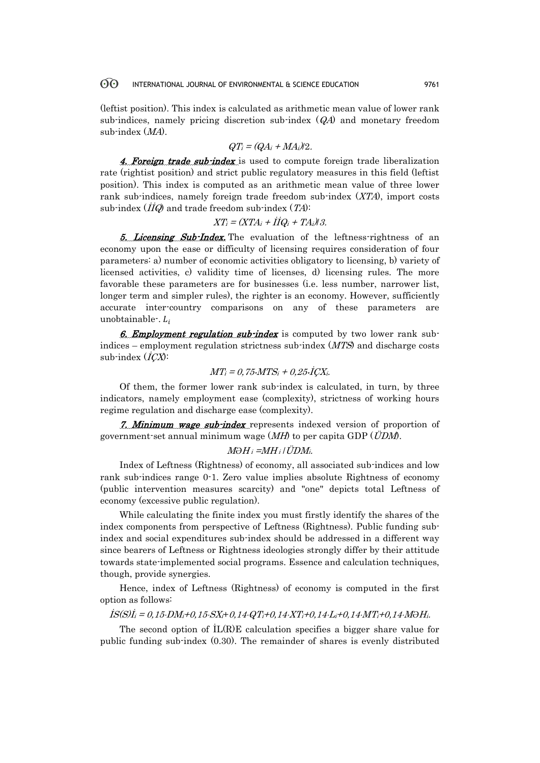(leftist position). This index is calculated as arithmetic mean value of lower rank sub-indices, namely pricing discretion sub-index (QA) and monetary freedom sub-index (MA).

$$
QT_i = (QA_i + MA_i)/2.
$$

4. Foreign trade sub-index is used to compute foreign trade liberalization rate (rightist position) and strict public regulatory measures in this field (leftist position). This index is computed as an arithmetic mean value of three lower rank sub-indices, namely foreign trade freedom sub-index (XTA), import costs sub-index  $(\overline{IIQ})$  and trade freedom sub-index  $(TA)$ :

$$
XT_i = (XTA_i + I\dot{I}Q_i + TA_i)/3.
$$

5. *Licensing Sub-Index*, The evaluation of the leftness-rightness of an economy upon the ease or difficulty of licensing requires consideration of four parameters: a) number of economic activities obligatory to licensing, b) variety of licensed activities, c) validity time of licenses, d) licensing rules. The more favorable these parameters are for businesses (i.e. less number, narrower list, longer term and simpler rules), the righter is an economy. However, sufficiently accurate inter-country comparisons on any of these parameters are unobtainable  $\cdot$ .  $L_i$ 

6. Employment regulation sub-index is computed by two lower rank subindices – employment regulation strictness sub-index  $(MTS)$  and discharge costs sub-index  $(I\mathcal{C}X)$ :

$$
MT_i = 0,75 \cdot MTS_i + 0,25 \cdot \text{ICX}_i.
$$

Of them, the former lower rank sub-index is calculated, in turn, by three indicators, namely employment ease (complexity), strictness of working hours regime regulation and discharge ease (complexity).

7. Minimum wage sub-index represents indexed version of proportion of government-set annual minimum wage  $(MH)$  to per capita GDP ( $\ddot{U}DM$ ).

## $M\!\Theta H_i =\!\!MH_i/\ddot{U}\!DM_i$ .

Index of Leftness (Rightness) of economy, all associated sub-indices and low rank sub-indices range 0-1. Zero value implies absolute Rightness of economy (public intervention measures scarcity) and "one" depicts total Leftness of economy (excessive public regulation).

While calculating the finite index you must firstly identify the shares of the index components from perspective of Leftness (Rightness). Public funding subindex and social expenditures sub-index should be addressed in a different way since bearers of Leftness or Rightness ideologies strongly differ by their attitude towards state-implemented social programs. Essence and calculation techniques, though, provide synergies.

Hence, index of Leftness (Rightness) of economy is computed in the first option as follows:

## $\hat{I}S(S)\hat{I}_i = 0,15\cdot DM_i + 0,15\cdot SX_i + 0,14\cdot QT_i + 0,14\cdot XT_i + 0,14\cdot MT_i + 0,14\cdot M\Theta H_i.$

The second option of İL(R)E calculation specifies a bigger share value for public funding sub-index (0.30). The remainder of shares is evenly distributed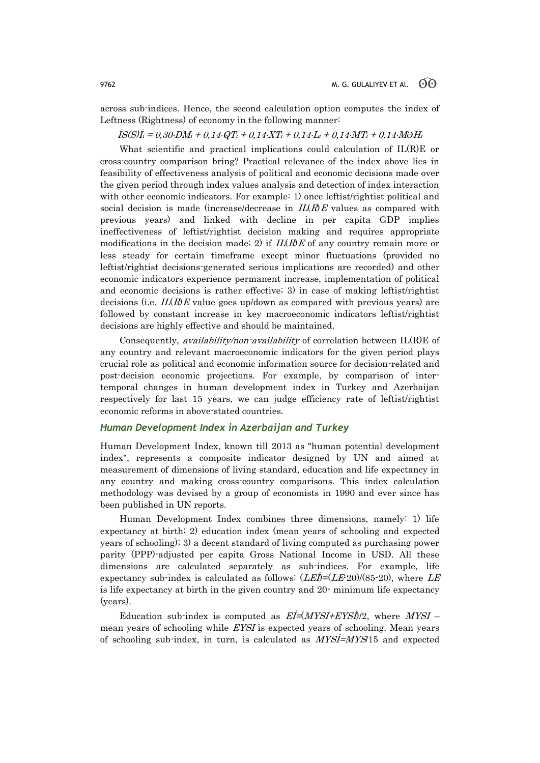across sub-indices. Hence, the second calculation option computes the index of Leftness (Rightness) of economy in the following manner:

 $\dot{IS}(S)\dot{I}_i = 0.30 \cdot DM_i + 0.14 \cdot QT_i + 0.14 \cdot XT_i + 0.14 \cdot L_i + 0.14 \cdot MT_i + 0.14 \cdot MOH_i$ 

What scientific and practical implications could calculation of IL(R)E or cross-country comparison bring? Practical relevance of the index above lies in feasibility of effectiveness analysis of political and economic decisions made over the given period through index values analysis and detection of index interaction with other economic indicators. For example: 1) once leftist/rightist political and social decision is made (increase/decrease in  $IL(R)E$  values as compared with previous years) and linked with decline in per capita GDP implies ineffectiveness of leftist/rightist decision making and requires appropriate modifications in the decision made; 2) if  $IL(R)E$  of any country remain more or less steady for certain timeframe except minor fluctuations (provided no leftist/rightist decisions-generated serious implications are recorded) and other economic indicators experience permanent increase, implementation of political and economic decisions is rather effective; 3) in case of making leftist/rightist decisions (i.e.  $IL(R)E$  value goes up/down as compared with previous years) are followed by constant increase in key macroeconomic indicators leftist/rightist decisions are highly effective and should be maintained.

Consequently, availability/non-availability of correlation between IL(R)E of any country and relevant macroeconomic indicators for the given period plays crucial role as political and economic information source for decision-related and post-decision economic projections. For example, by comparison of intertemporal changes in human development index in Turkey and Azerbaijan respectively for last 15 years, we can judge efficiency rate of leftist/rightist economic reforms in above-stated countries.

## *Human Development Index in Azerbaijan and Turkey*

Human Development Index, known till 2013 as "human potential development index", represents a composite indicator designed by UN and aimed at measurement of dimensions of living standard, education and life expectancy in any country and making cross-country comparisons. This index calculation methodology was devised by a group of economists in 1990 and ever since has been published in UN reports.

Human Development Index combines three dimensions, namely: 1) life expectancy at birth; 2) education index (mean years of schooling and expected years of schooling); 3) a decent standard of living computed as purchasing power parity (PPP)-adjusted per capita Gross National Income in USD. All these dimensions are calculated separately as sub-indices. For example, life expectancy sub-index is calculated as follows:  $(LEI) = (LE20)/(85-20)$ , where LE is life expectancy at birth in the given country and 20- minimum life expectancy (years).

Education sub-index is computed as  $E\vec{I} = (MYS\vec{I} + EYS\vec{I})/2$ , where  $MYS\vec{I}$ mean years of schooling while EYSI is expected years of schooling. Mean years of schooling sub-index, in turn, is calculated as  $MYSI=MYS/15$  and expected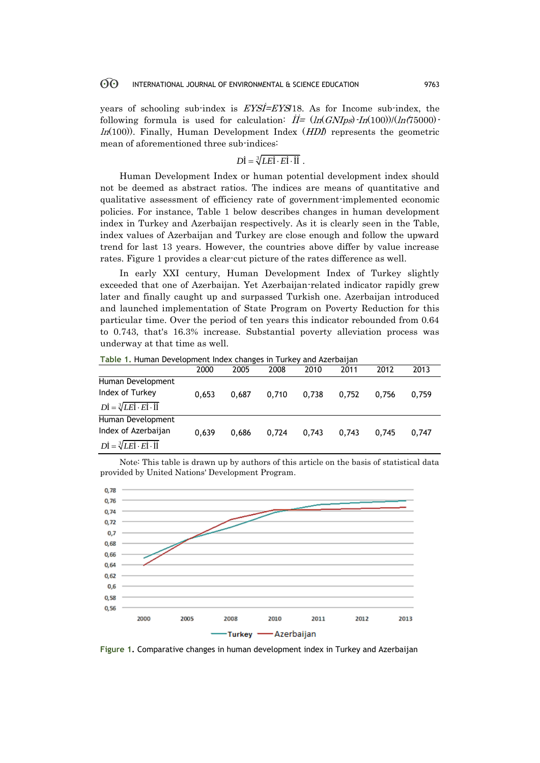years of schooling sub-index is EYSİ=EYS/18. As for Income sub-index, the following formula is used for calculation:  $\dot{H} = (ln(GNIps) \cdot In(100))/(ln(75000) \cdot$  $ln(100)$ . Finally, Human Development Index  $(HD\hat{D})$  represents the geometric mean of aforementioned three sub-indices:

$$
D\dot{\mathbf{I}} = \sqrt[3]{LE\mathbf{i} \cdot E\mathbf{i} \cdot \mathbf{I}\mathbf{i}}.
$$

Human Development Index or human potential development index should not be deemed as abstract ratios. The indices are means of quantitative and qualitative assessment of efficiency rate of government-implemented economic policies. For instance, Table 1 below describes changes in human development index in Turkey and Azerbaijan respectively. As it is clearly seen in the Table, index values of Azerbaijan and Turkey are close enough and follow the upward trend for last 13 years. However, the countries above differ by value increase rates. Figure 1 provides a clear-cut picture of the rates difference as well.

In early XXI century, Human Development Index of Turkey slightly exceeded that one of Azerbaijan. Yet Azerbaijan-related indicator rapidly grew later and finally caught up and surpassed Turkish one. Azerbaijan introduced and launched implementation of State Program on Poverty Reduction for this particular time. Over the period of ten years this indicator rebounded from 0.64 to 0.743, that's 16.3% increase. Substantial poverty alleviation process was underway at that time as well.

**Table 1.** Human Development Index changes in Turkey and Azerbaijan

|                                                                      | 2000  | 2005  | 2008  | 2010  | 2011  | 2012  | 2013  |  |  |
|----------------------------------------------------------------------|-------|-------|-------|-------|-------|-------|-------|--|--|
| Human Development                                                    |       |       |       |       |       |       |       |  |  |
| Index of Turkey                                                      | 0.653 | 0.687 | 0.710 | 0.738 | 0.752 | 0.756 | 0.759 |  |  |
| $D\dot{I} = \sqrt[3]{LE\dot{I} \cdot E\dot{I} \cdot \dot{I}\dot{I}}$ |       |       |       |       |       |       |       |  |  |
| Human Development                                                    |       |       |       |       |       |       |       |  |  |
| Index of Azerbaijan                                                  | 0.639 | 0.686 | 0.724 | 0.743 | 0.743 | 0.745 | 0.747 |  |  |
| $D\dot{I} = \sqrt[3]{LE\dot{I} \cdot E\dot{I} \cdot \dot{I}\dot{I}}$ |       |       |       |       |       |       |       |  |  |

Note: This table is drawn up by authors of this article on the basis of statistical data provided by United Nations' Development Program.



**Figure 1.** Comparative changes in human development index in Turkey and Azerbaijan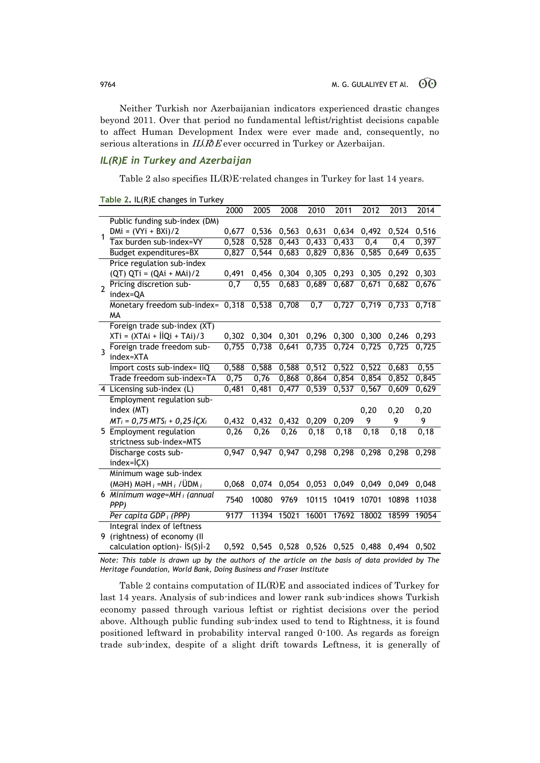Neither Turkish nor Azerbaijanian indicators experienced drastic changes beyond 2011. Over that period no fundamental leftist/rightist decisions capable to affect Human Development Index were ever made and, consequently, no serious alterations in  $IL(R)E$  ever occurred in Turkey or Azerbaijan.

## *IL(R)E in Turkey and Azerbaijan*

Table 2 also specifies IL(R)E-related changes in Turkey for last 14 years.

|                | Table 2. ILINJL CHANGES III TUINEY                   |                  |       |       |                     |       |                  |                                                 |       |
|----------------|------------------------------------------------------|------------------|-------|-------|---------------------|-------|------------------|-------------------------------------------------|-------|
|                |                                                      | 2000             | 2005  | 2008  | 2010                | 2011  | 2012             | 2013                                            | 2014  |
|                | Public funding sub-index (DM)                        |                  |       |       |                     |       |                  |                                                 |       |
| $\mathbf{1}$   | $DMi = (VYi + BXi)/2$                                | 0,677            | 0,536 | 0,563 | 0,631               | 0,634 | 0,492            | 0,524                                           | 0,516 |
|                | Tax burden sub-index=VY                              | 0,528            | 0,528 | 0,443 | 0,433               | 0,433 | $\overline{0,4}$ | 0,4                                             | 0,397 |
|                | Budget expenditures=BX                               | 0,827            | 0,544 | 0,683 | 0,829               | 0,836 | 0,585            | 0,649                                           | 0,635 |
|                | Price regulation sub-index                           |                  |       |       |                     |       |                  |                                                 |       |
|                | $(QT) QTi = (QAi + MAi)/2$                           | 0,491            | 0,456 | 0,304 | 0,305               | 0,293 | 0,305            | 0,292                                           | 0,303 |
| $\overline{2}$ | Pricing discretion sub-                              | $\overline{0,7}$ | 0,55  | 0,683 | 0,689               | 0,687 | 0,671            | 0,682                                           | 0,676 |
|                | index=QA                                             |                  |       |       |                     |       |                  |                                                 |       |
|                | Monetary freedom sub-index= $0,\overline{318}$ 0,538 |                  |       | 0,708 | $\overline{0,7}$    | 0,727 | 0,719            | 0,733                                           | 0,718 |
|                | <b>MA</b>                                            |                  |       |       |                     |       |                  |                                                 |       |
|                | Foreign trade sub-index (XT)                         |                  |       |       |                     |       |                  |                                                 |       |
|                | $XTi = (XTAi + IIQi + TAi)/3$                        | 0,302            | 0,304 | 0,301 | 0,296               | 0,300 | 0,300            | 0,246                                           | 0,293 |
| $\overline{3}$ | Foreign trade freedom sub-                           | 0.755            | 0.738 | 0.641 | 0.735               | 0,724 | 0.725            | 0.725                                           | 0,725 |
|                | index=XTA                                            |                  |       |       |                     |       |                  |                                                 |       |
|                | Import costs sub-index= IIQ                          | 0,588            | 0,588 | 0,588 | 0,512               | 0,522 | 0,522            | 0,683                                           | 0,55  |
|                | Trade freedom sub-index=TA                           | 0,75             | 0,76  | 0,868 | 0,864               | 0,854 | 0,854            | 0,852                                           | 0,845 |
|                | 4 Licensing sub-index (L)                            | 0,481            | 0,481 | 0,477 | 0,539               | 0,537 | 0,567            | 0,609                                           | 0,629 |
|                | Employment regulation sub-                           |                  |       |       |                     |       |                  |                                                 |       |
|                | index (MT)                                           |                  |       |       |                     |       | 0,20             | 0,20                                            | 0,20  |
|                | $MT_i = 0,75 \cdot MTS_i + 0,25 \cdot iCX_i$         | 0,432            | 0,432 | 0,432 | 0,209               | 0,209 | 9                | 9                                               | 9     |
|                | 5 Employment regulation                              | 0,26             | 0,26  | 0,26  | 0, 18               | 0,18  | 0,18             | 0, 18                                           | 0, 18 |
|                | strictness sub-index=MTS                             |                  |       |       |                     |       |                  |                                                 |       |
|                | Discharge costs sub-                                 | 0.947            | 0.947 |       | $0,947$ 0,298 0,298 |       | 0,298            | 0.298                                           | 0.298 |
|                | $index = i(X)$                                       |                  |       |       |                     |       |                  |                                                 |       |
|                | Minimum wage sub-index                               |                  |       |       |                     |       |                  |                                                 |       |
|                | (MƏH) MƏH $_i$ =MH $_i$ / ÜDM $_i$                   | 0,068            | 0,074 | 0,054 | 0,053               | 0,049 | 0,049            | 0,049                                           | 0,048 |
|                | 6 Minimum wage=MH <sub>i</sub> (annual               | 7540             | 10080 | 9769  | 10115               | 10419 | 10701            | 10898                                           | 11038 |
|                | PPP)                                                 |                  |       |       |                     |       |                  |                                                 |       |
|                | Per capita GDP $_i$ (PPP)                            | 9177             | 11394 | 15021 | 16001               | 17692 | 18002            | 18599                                           | 19054 |
|                | Integral index of leftness                           |                  |       |       |                     |       |                  |                                                 |       |
|                | 9 (rightness) of economy (II                         |                  |       |       |                     |       |                  |                                                 |       |
|                | calculation option) - IS(S)I-2                       |                  |       |       |                     |       |                  | 0,592 0,545 0,528 0,526 0,525 0,488 0,494 0,502 |       |

| Table 2. IL(R)E changes in Turkey |  |  |  |  |
|-----------------------------------|--|--|--|--|
|-----------------------------------|--|--|--|--|

*Note: This table is drawn up by the authors of the article on the basis of data provided by The Heritage Foundation, World Bank, Doing Business and Fraser Institute*

Table 2 contains computation of IL(R)E and associated indices of Turkey for last 14 years. Analysis of sub-indices and lower rank sub-indices shows Turkish economy passed through various leftist or rightist decisions over the period above. Although public funding sub-index used to tend to Rightness, it is found positioned leftward in probability interval ranged 0-100. As regards as foreign trade sub-index, despite of a slight drift towards Leftness, it is generally of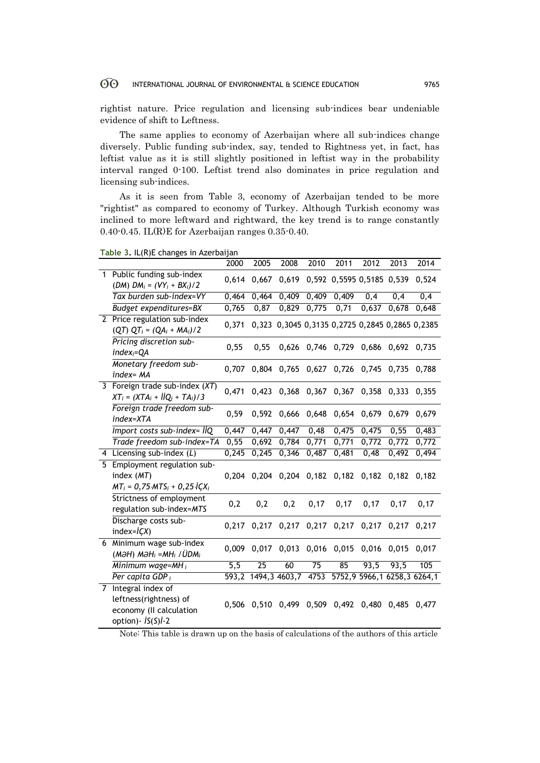rightist nature. Price regulation and licensing sub-indices bear undeniable evidence of shift to Leftness.

The same applies to economy of Azerbaijan where all sub-indices change diversely. Public funding sub-index, say, tended to Rightness yet, in fact, has leftist value as it is still slightly positioned in leftist way in the probability interval ranged 0-100. Leftist trend also dominates in price regulation and licensing sub-indices.

As it is seen from Table 3, economy of Azerbaijan tended to be more "rightist" as compared to economy of Turkey. Although Turkish economy was inclined to more leftward and rightward, the key trend is to range constantly 0.40-0.45. IL(R)E for Azerbaijan ranges 0.35-0.40.

|  | Table 3. IL(R)E changes in Azerbaijan |
|--|---------------------------------------|
|  |                                       |

|                |                                                                                                           | 2000  | 2005            | 2008            | 2010        | 2011                    | 2012                                            | 2013  | 2014                        |
|----------------|-----------------------------------------------------------------------------------------------------------|-------|-----------------|-----------------|-------------|-------------------------|-------------------------------------------------|-------|-----------------------------|
|                | 1 Public funding sub-index<br>(DM) $DM_i = (VY_i + BX_i)/2$                                               | 0,614 | 0,667           | 0,619           |             |                         | 0,592 0,5595 0,5185 0,539                       |       | 0,524                       |
|                | Tax burden sub-index=VY                                                                                   | 0,464 | 0,464           | 0,409           | 0,409       | 0,409                   | $\overline{0,4}$                                | 0,4   | $\overline{0,4}$            |
|                | <b>Budget expenditures=BX</b>                                                                             | 0,765 | 0,87            | 0,829           | 0,775       | 0,71                    | 0,637                                           | 0,678 | 0,648                       |
|                | 2 Price regulation sub-index<br>$(QT)$ $QT_i = (QA_i + MA_i)/2$                                           | 0,371 |                 |                 |             |                         | 0,323 0,3045 0,3135 0,2725 0,2845 0,2865 0,2385 |       |                             |
|                | Pricing discretion sub-<br>$index_i = QA$                                                                 | 0,55  | 0,55            |                 | 0,626 0,746 |                         | 0,729 0,686 0,692 0,735                         |       |                             |
|                | Monetary freedom sub-<br>index= MA                                                                        | 0,707 |                 |                 |             |                         | 0,804 0,765 0,627 0,726 0,745 0,735             |       | 0,788                       |
|                | 3 Foreign trade sub-index $(XT)$<br>$XT_i = (XTA_i + IIQ_i + TA_i)/3$                                     | 0,471 | 0,423           |                 | 0,368 0,367 | 0,367                   | 0,358                                           | 0,333 | 0,355                       |
|                | Foreign trade freedom sub-<br>index=XTA                                                                   | 0,59  | 0,592           | 0,666           | 0,648       | 0,654                   | 0,679                                           | 0,679 | 0,679                       |
|                | Import costs sub-index= llQ                                                                               | 0,447 | 0,447           | 0,447           | 0,48        | 0,475                   | 0,475                                           | 0,55  | 0,483                       |
|                | Trade freedom sub-index=TA                                                                                | 0,55  | 0,692           | 0,784           | 0,771       | 0,771                   | 0,772                                           | 0,772 | 0,772                       |
|                | 4 Licensing sub-index (L)                                                                                 | 0,245 | 0,245           | 0,346           | 0,487       | 0,481                   | 0,48                                            | 0,492 | 0,494                       |
| 5 <sub>1</sub> | Employment regulation sub-<br>index (MT)<br>$MT_i = 0,75 \cdot MTS_i + 0,25 \cdot iCX_i$                  | 0,204 |                 |                 |             |                         | 0,204 0,204 0,182 0,182 0,182 0,182 0,182       |       |                             |
|                | Strictness of employment<br>regulation sub-index=MTS                                                      | 0,2   | 0,2             | 0,2             | 0,17        | 0,17                    | 0,17                                            | 0,17  | 0,17                        |
|                | Discharge costs sub-<br>$index=I(X)$                                                                      | 0,217 |                 |                 |             | 0,217 0,217 0,217 0,217 | 0,217                                           | 0,217 | 0,217                       |
|                | 6 Minimum wage sub-index<br>$(M\partial H)$ M $\partial H_i$ =M $H_i$ / $UDM_i$                           | 0,009 | 0,017           |                 | 0,013 0,016 | 0,015                   | 0,016                                           | 0,015 | 0,017                       |
|                | Minimum wage=MH $_i$                                                                                      | 5,5   | $\overline{25}$ | 60              | 75          | 85                      | 93,5                                            | 93,5  | 105                         |
|                | Per capita GDP $_i$                                                                                       | 593,2 |                 | 1494, 3 4603, 7 | 4753        |                         |                                                 |       | 5752,9 5966,1 6258,3 6264,1 |
|                | 7 Integral index of<br>leftness(rightness) of<br>economy (II calculation<br>option) - $IS(S)$ <i>i</i> -2 | 0,506 |                 |                 |             | 0,510 0,499 0,509 0,492 | 0,480                                           | 0,485 | 0,477                       |

Note: This table is drawn up on the basis of calculations of the authors of this article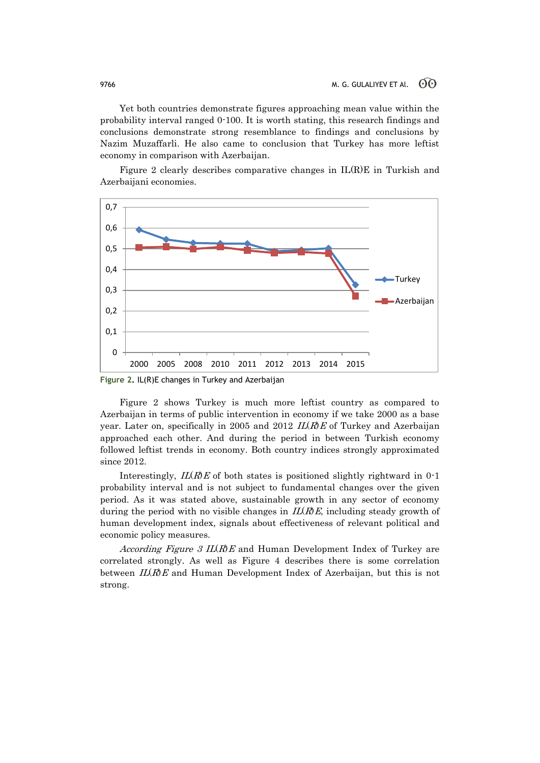Yet both countries demonstrate figures approaching mean value within the probability interval ranged 0-100. It is worth stating, this research findings and conclusions demonstrate strong resemblance to findings and conclusions by Nazim Muzaffarli. He also came to conclusion that Turkey has more leftist economy in comparison with Azerbaijan.

Figure 2 clearly describes comparative changes in  $IL(R)E$  in Turkish and Azerbaijani economies.



**Figure 2.** IL(R)E changes in Turkey and Azerbaijan

Figure 2 shows Turkey is much more leftist country as compared to Azerbaijan in terms of public intervention in economy if we take 2000 as a base year. Later on, specifically in 2005 and 2012  $IL(R)E$  of Turkey and Azerbaijan approached each other. And during the period in between Turkish economy followed leftist trends in economy. Both country indices strongly approximated since 2012.

Interestingly,  $IL(R)E$  of both states is positioned slightly rightward in 0-1 probability interval and is not subject to fundamental changes over the given period. As it was stated above, sustainable growth in any sector of economy during the period with no visible changes in  $IL(R)E$ , including steady growth of human development index, signals about effectiveness of relevant political and economic policy measures.

According Figure 3 IL(R)E and Human Development Index of Turkey are correlated strongly. As well as Figure 4 describes there is some correlation between  $IL(R)E$  and Human Development Index of Azerbaijan, but this is not strong.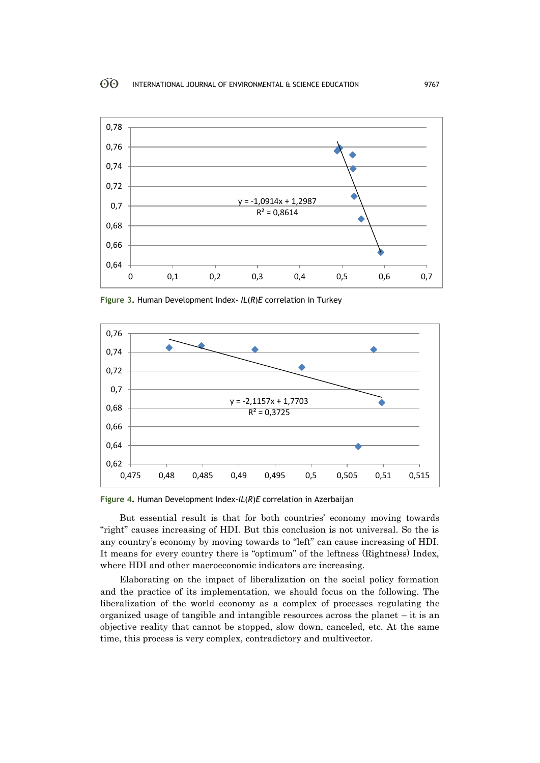

**Figure 3.** Human Development Index- *IL*(*R*)*E* correlation in Turkey



**Figure 4.** Human Development Index-*IL*(*R*)*E* correlation in Azerbaijan

But essential result is that for both countries' economy moving towards "right" causes increasing of HDI. But this conclusion is not universal. So the is any country's economy by moving towards to "left" can cause increasing of HDI. It means for every country there is "optimum" of the leftness (Rightness) Index, where HDI and other macroeconomic indicators are increasing.

Elaborating on the impact of liberalization on the social policy formation and the practice of its implementation, we should focus on the following. The liberalization of the world economy as a complex of processes regulating the organized usage of tangible and intangible resources across the planet  $-$  it is an objective reality that cannot be stopped, slow down, canceled, etc. At the same time, this process is very complex, contradictory and multivector.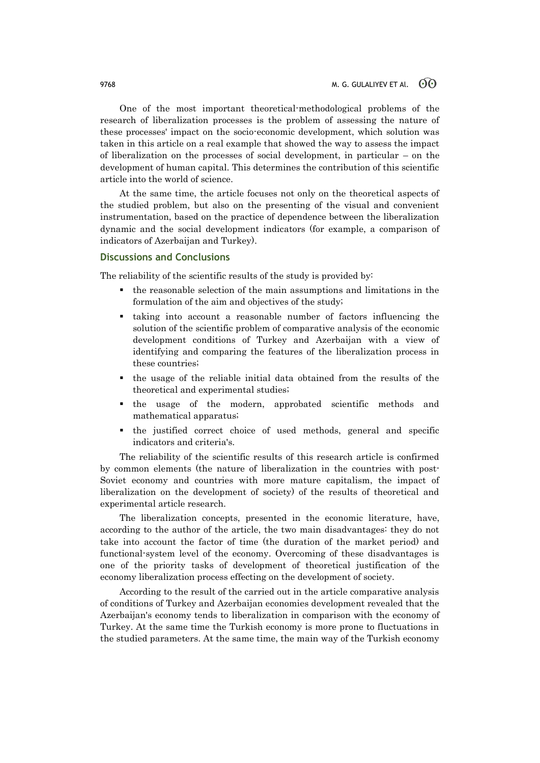One of the most important theoretical-methodological problems of the research of liberalization processes is the problem of assessing the nature of these processes' impact on the socio-economic development, which solution was taken in this article on a real example that showed the way to assess the impact of liberalization on the processes of social development, in particular – on the development of human capital. This determines the contribution of this scientific article into the world of science.

At the same time, the article focuses not only on the theoretical aspects of the studied problem, but also on the presenting of the visual and convenient instrumentation, based on the practice of dependence between the liberalization dynamic and the social development indicators (for example, a comparison of indicators of Azerbaijan and Turkey).

### **Discussions and Conclusions**

The reliability of the scientific results of the study is provided by:

- the reasonable selection of the main assumptions and limitations in the formulation of the aim and objectives of the study;
- taking into account a reasonable number of factors influencing the solution of the scientific problem of comparative analysis of the economic development conditions of Turkey and Azerbaijan with a view of identifying and comparing the features of the liberalization process in these countries;
- the usage of the reliable initial data obtained from the results of the theoretical and experimental studies;
- the usage of the modern, approbated scientific methods and mathematical apparatus;
- the justified correct choice of used methods, general and specific indicators and criteria's.

The reliability of the scientific results of this research article is confirmed by common elements (the nature of liberalization in the countries with post-Soviet economy and countries with more mature capitalism, the impact of liberalization on the development of society) of the results of theoretical and experimental article research.

The liberalization concepts, presented in the economic literature, have, according to the author of the article, the two main disadvantages: they do not take into account the factor of time (the duration of the market period) and functional-system level of the economy. Overcoming of these disadvantages is one of the priority tasks of development of theoretical justification of the economy liberalization process effecting on the development of society.

According to the result of the carried out in the article comparative analysis of conditions of Turkey and Azerbaijan economies development revealed that the Azerbaijan's economy tends to liberalization in comparison with the economy of Turkey. At the same time the Turkish economy is more prone to fluctuations in the studied parameters. At the same time, the main way of the Turkish economy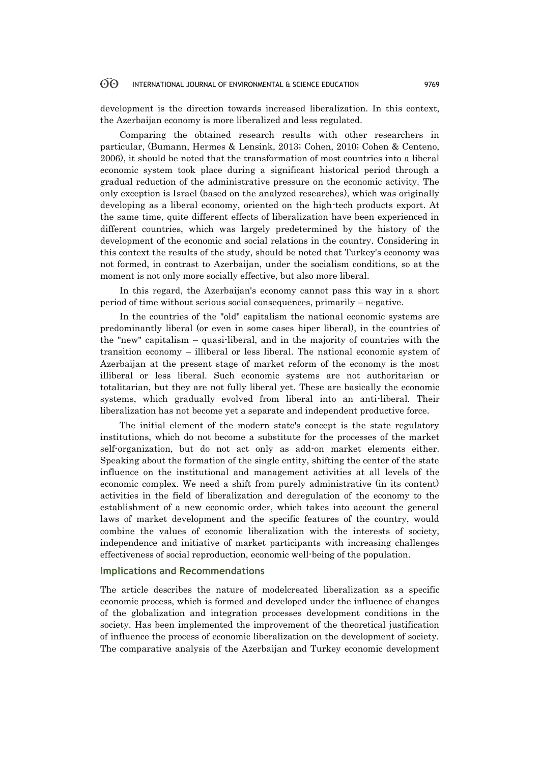development is the direction towards increased liberalization. In this context, the Azerbaijan economy is more liberalized and less regulated.

Comparing the obtained research results with other researchers in particular, (Bumann, Hermes & Lensink, 2013; Cohen, 2010; Cohen & Centeno, 2006), it should be noted that the transformation of most countries into a liberal economic system took place during a significant historical period through a gradual reduction of the administrative pressure on the economic activity. The only exception is Israel (based on the analyzed researches), which was originally developing as a liberal economy, oriented on the high-tech products export. At the same time, quite different effects of liberalization have been experienced in different countries, which was largely predetermined by the history of the development of the economic and social relations in the country. Considering in this context the results of the study, should be noted that Turkey's economy was not formed, in contrast to Azerbaijan, under the socialism conditions, so at the moment is not only more socially effective, but also more liberal.

In this regard, the Azerbaijan's economy cannot pass this way in a short period of time without serious social consequences, primarily – negative.

In the countries of the "old" capitalism the national economic systems are predominantly liberal (or even in some cases hiper liberal), in the countries of the "new" capitalism – quasi-liberal, and in the majority of countries with the transition economy – illiberal or less liberal. The national economic system of Azerbaijan at the present stage of market reform of the economy is the most illiberal or less liberal. Such economic systems are not authoritarian or totalitarian, but they are not fully liberal yet. These are basically the economic systems, which gradually evolved from liberal into an anti-liberal. Their liberalization has not become yet a separate and independent productive force.

The initial element of the modern state's concept is the state regulatory institutions, which do not become a substitute for the processes of the market self-organization, but do not act only as add-on market elements either. Speaking about the formation of the single entity, shifting the center of the state influence on the institutional and management activities at all levels of the economic complex. We need a shift from purely administrative (in its content) activities in the field of liberalization and deregulation of the economy to the establishment of a new economic order, which takes into account the general laws of market development and the specific features of the country, would combine the values of economic liberalization with the interests of society, independence and initiative of market participants with increasing challenges effectiveness of social reproduction, economic well-being of the population.

### **Implications and Recommendations**

The article describes the nature of modelcreated liberalization as a specific economic process, which is formed and developed under the influence of changes of the globalization and integration processes development conditions in the society. Has been implemented the improvement of the theoretical justification of influence the process of economic liberalization on the development of society. The comparative analysis of the Azerbaijan and Turkey economic development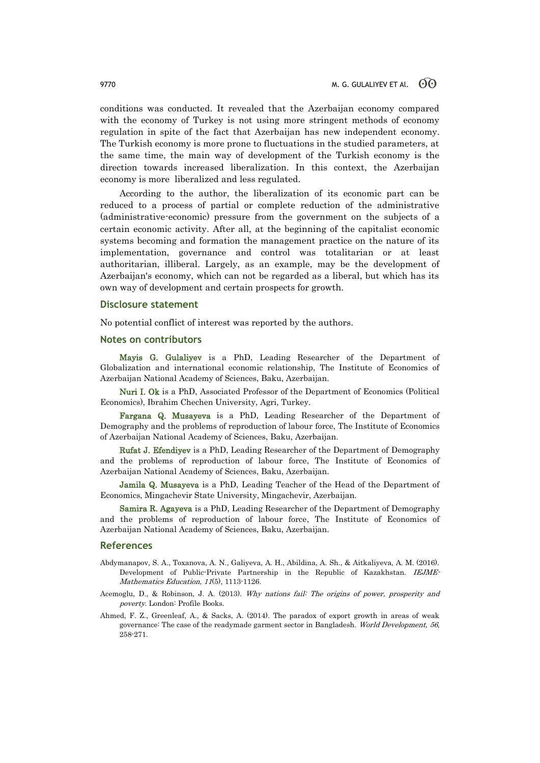conditions was conducted. It revealed that the Azerbaijan economy compared with the economy of Turkey is not using more stringent methods of economy regulation in spite of the fact that Azerbaijan has new independent economy. The Turkish economy is more prone to fluctuations in the studied parameters, at the same time, the main way of development of the Turkish economy is the direction towards increased liberalization. In this context, the Azerbaijan economy is more liberalized and less regulated.

According to the author, the liberalization of its economic part can be reduced to a process of partial or complete reduction of the administrative (administrative-economic) pressure from the government on the subjects of a certain economic activity. After all, at the beginning of the capitalist economic systems becoming and formation the management practice on the nature of its implementation, governance and control was totalitarian or at least authoritarian, illiberal. Largely, as an example, may be the development of Azerbaijan's economy, which can not be regarded as a liberal, but which has its own way of development and certain prospects for growth.

#### **Disclosure statement**

No potential conflict of interest was reported by the authors.

#### **Notes on contributors**

Mayis G. Gulaliyev is a PhD, Leading Researcher of the Department of Globalization and international economic relationship, The Institute of Economics of Azerbaijan National Academy of Sciences, Baku, Azerbaijan.

Nuri I. Ok is a PhD, Associated Professor of the Department of Economics (Political Economics), Ibrahim Chechen University, Agri, Turkey.

Fargana Q. Musayeva is a PhD, Leading Researcher of the Department of Demography and the problems of reproduction of labour force, The Institute of Economics of Azerbaijan National Academy of Sciences, Baku, Azerbaijan.

Rufat J. Efendiyev is a PhD, Leading Researcher of the Department of Demography and the problems of reproduction of labour force, The Institute of Economics of Azerbaijan National Academy of Sciences, Baku, Azerbaijan.

Jamila Q. Musayeva is a PhD, Leading Teacher of the Head of the Department of Economics, Mingachevir State University, Mingachevir, Azerbaijan.

Samira R. Agayeva is a PhD, Leading Researcher of the Department of Demography and the problems of reproduction of labour force, The Institute of Economics of Azerbaijan National Academy of Sciences, Baku, Azerbaijan.

#### **References**

- Abdymanapov, S. A., Toxanova, A. N., Galiyeva, A. H., Abildina, A. Sh., & Aitkaliyeva, A. M. (2016). Development of Public-Private Partnership in the Republic of Kazakhstan. IEJME-Mathematics Education, 11(5), 1113-1126.
- Acemoglu, D., & Robinson, J. A. (2013). Why nations fail: The origins of power, prosperity and poverty. London: Profile Books.
- Ahmed, F. Z., Greenleaf, A., & Sacks, A. (2014). The paradox of export growth in areas of weak governance: The case of the readymade garment sector in Bangladesh. World Development, 56, 258-271.